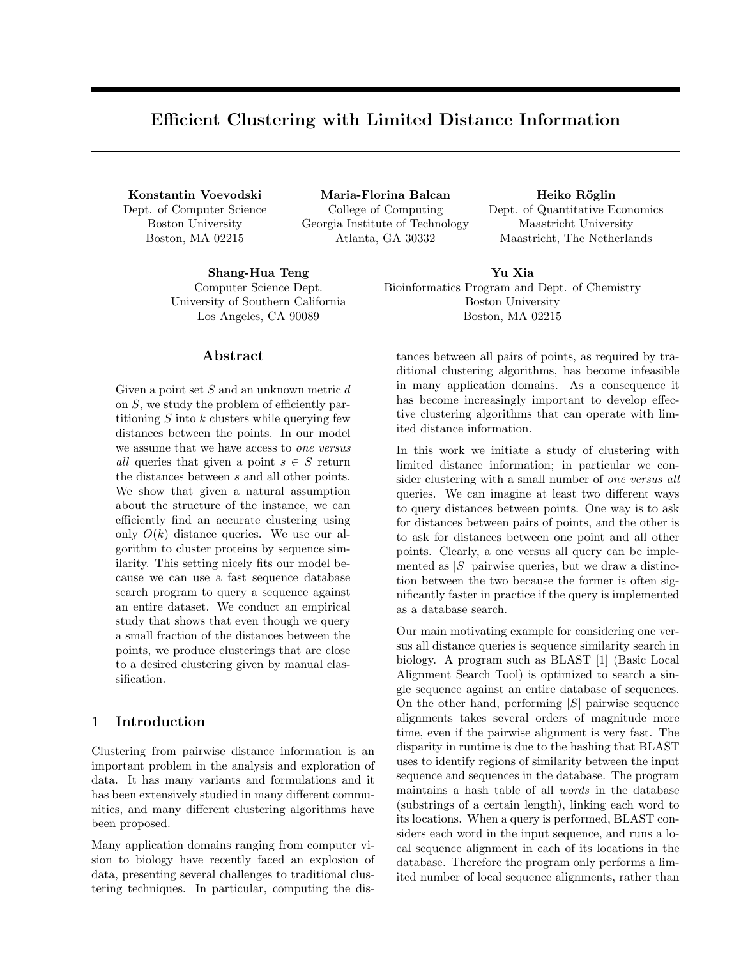# Efficient Clustering with Limited Distance Information

Konstantin Voevodski Dept. of Computer Science Boston University Boston, MA 02215

Maria-Florina Balcan College of Computing Georgia Institute of Technology Atlanta, GA 30332

Shang-Hua Teng Computer Science Dept. University of Southern California Los Angeles, CA 90089

### Abstract

Given a point set  $S$  and an unknown metric  $d$ on S, we study the problem of efficiently partitioning  $S$  into  $k$  clusters while querying few distances between the points. In our model we assume that we have access to one versus all queries that given a point  $s \in S$  return the distances between s and all other points. We show that given a natural assumption about the structure of the instance, we can efficiently find an accurate clustering using only  $O(k)$  distance queries. We use our algorithm to cluster proteins by sequence similarity. This setting nicely fits our model because we can use a fast sequence database search program to query a sequence against an entire dataset. We conduct an empirical study that shows that even though we query a small fraction of the distances between the points, we produce clusterings that are close to a desired clustering given by manual classification.

# 1 Introduction

Clustering from pairwise distance information is an important problem in the analysis and exploration of data. It has many variants and formulations and it has been extensively studied in many different communities, and many different clustering algorithms have been proposed.

Many application domains ranging from computer vision to biology have recently faced an explosion of data, presenting several challenges to traditional clustering techniques. In particular, computing the dis-

Heiko Röglin Dept. of Quantitative Economics Maastricht University Maastricht, The Netherlands

Yu Xia Bioinformatics Program and Dept. of Chemistry Boston University Boston, MA 02215

tances between all pairs of points, as required by traditional clustering algorithms, has become infeasible in many application domains. As a consequence it has become increasingly important to develop effective clustering algorithms that can operate with limited distance information.

In this work we initiate a study of clustering with limited distance information; in particular we consider clustering with a small number of one versus all queries. We can imagine at least two different ways to query distances between points. One way is to ask for distances between pairs of points, and the other is to ask for distances between one point and all other points. Clearly, a one versus all query can be implemented as  $|S|$  pairwise queries, but we draw a distinction between the two because the former is often significantly faster in practice if the query is implemented as a database search.

Our main motivating example for considering one versus all distance queries is sequence similarity search in biology. A program such as BLAST [1] (Basic Local Alignment Search Tool) is optimized to search a single sequence against an entire database of sequences. On the other hand, performing  $|S|$  pairwise sequence alignments takes several orders of magnitude more time, even if the pairwise alignment is very fast. The disparity in runtime is due to the hashing that BLAST uses to identify regions of similarity between the input sequence and sequences in the database. The program maintains a hash table of all words in the database (substrings of a certain length), linking each word to its locations. When a query is performed, BLAST considers each word in the input sequence, and runs a local sequence alignment in each of its locations in the database. Therefore the program only performs a limited number of local sequence alignments, rather than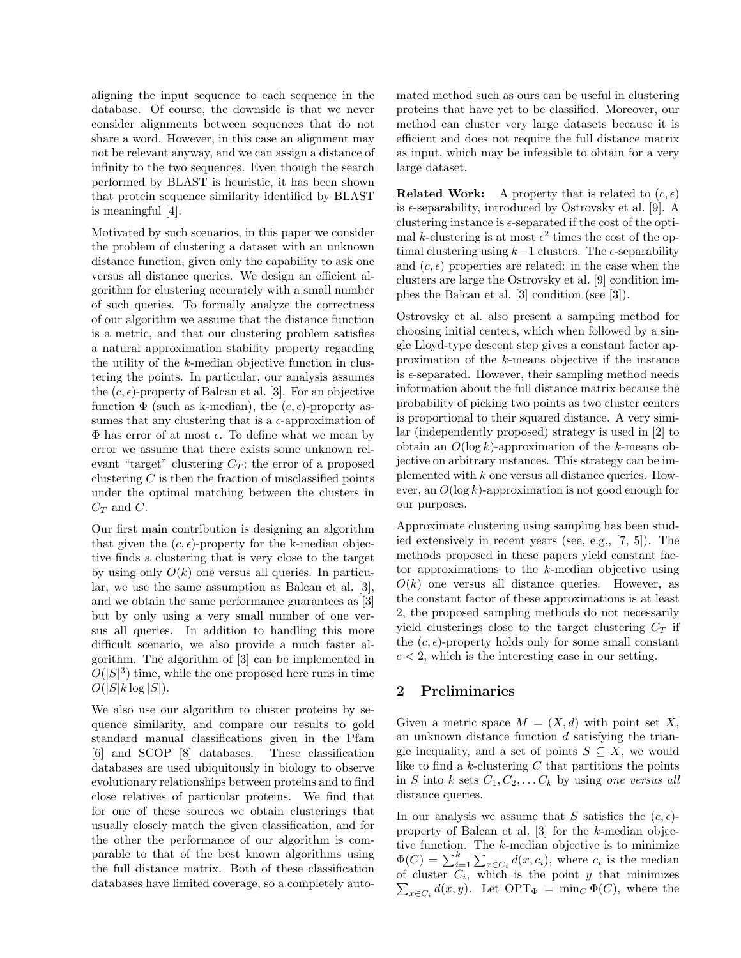aligning the input sequence to each sequence in the database. Of course, the downside is that we never consider alignments between sequences that do not share a word. However, in this case an alignment may not be relevant anyway, and we can assign a distance of infinity to the two sequences. Even though the search performed by BLAST is heuristic, it has been shown that protein sequence similarity identified by BLAST is meaningful [4].

Motivated by such scenarios, in this paper we consider the problem of clustering a dataset with an unknown distance function, given only the capability to ask one versus all distance queries. We design an efficient algorithm for clustering accurately with a small number of such queries. To formally analyze the correctness of our algorithm we assume that the distance function is a metric, and that our clustering problem satisfies a natural approximation stability property regarding the utility of the k-median objective function in clustering the points. In particular, our analysis assumes the  $(c, \epsilon)$ -property of Balcan et al. [3]. For an objective function  $\Phi$  (such as k-median), the  $(c, \epsilon)$ -property assumes that any clustering that is a c-approximation of  $\Phi$  has error of at most  $\epsilon$ . To define what we mean by error we assume that there exists some unknown relevant "target" clustering  $C_T$ ; the error of a proposed clustering  $C$  is then the fraction of misclassified points under the optimal matching between the clusters in  $C_T$  and  $C$ .

Our first main contribution is designing an algorithm that given the  $(c, \epsilon)$ -property for the k-median objective finds a clustering that is very close to the target by using only  $O(k)$  one versus all queries. In particular, we use the same assumption as Balcan et al. [3], and we obtain the same performance guarantees as [3] but by only using a very small number of one versus all queries. In addition to handling this more difficult scenario, we also provide a much faster algorithm. The algorithm of [3] can be implemented in  $O(|S|^3)$  time, while the one proposed here runs in time  $O(|S|k \log |S|).$ 

We also use our algorithm to cluster proteins by sequence similarity, and compare our results to gold standard manual classifications given in the Pfam [6] and SCOP [8] databases. These classification databases are used ubiquitously in biology to observe evolutionary relationships between proteins and to find close relatives of particular proteins. We find that for one of these sources we obtain clusterings that usually closely match the given classification, and for the other the performance of our algorithm is comparable to that of the best known algorithms using the full distance matrix. Both of these classification databases have limited coverage, so a completely automated method such as ours can be useful in clustering proteins that have yet to be classified. Moreover, our method can cluster very large datasets because it is efficient and does not require the full distance matrix as input, which may be infeasible to obtain for a very large dataset.

**Related Work:** A property that is related to  $(c, \epsilon)$ is  $\epsilon$ -separability, introduced by Ostrovsky et al. [9]. A clustering instance is  $\epsilon$ -separated if the cost of the optimal k-clustering is at most  $\epsilon^2$  times the cost of the optimal clustering using  $k-1$  clusters. The  $\epsilon$ -separability and  $(c, \epsilon)$  properties are related: in the case when the clusters are large the Ostrovsky et al. [9] condition implies the Balcan et al. [3] condition (see [3]).

Ostrovsky et al. also present a sampling method for choosing initial centers, which when followed by a single Lloyd-type descent step gives a constant factor approximation of the k-means objective if the instance is  $\epsilon$ -separated. However, their sampling method needs information about the full distance matrix because the probability of picking two points as two cluster centers is proportional to their squared distance. A very similar (independently proposed) strategy is used in [2] to obtain an  $O(\log k)$ -approximation of the k-means objective on arbitrary instances. This strategy can be implemented with k one versus all distance queries. However, an  $O(\log k)$ -approximation is not good enough for our purposes.

Approximate clustering using sampling has been studied extensively in recent years (see, e.g., [7, 5]). The methods proposed in these papers yield constant factor approximations to the k-median objective using  $O(k)$  one versus all distance queries. However, as the constant factor of these approximations is at least 2, the proposed sampling methods do not necessarily yield clusterings close to the target clustering  $C_T$  if the  $(c, \epsilon)$ -property holds only for some small constant  $c < 2$ , which is the interesting case in our setting.

# 2 Preliminaries

Given a metric space  $M = (X, d)$  with point set X, an unknown distance function d satisfying the triangle inequality, and a set of points  $S \subseteq X$ , we would like to find a  $k$ -clustering  $C$  that partitions the points in S into k sets  $C_1, C_2, \ldots C_k$  by using one versus all distance queries.

In our analysis we assume that S satisfies the  $(c, \epsilon)$ property of Balcan et al. [3] for the k-median objective function. The  $k$ -median objective is to minimize  $\Phi(C) = \sum_{i=1}^{k} \sum_{x \in C_i} d(x, c_i)$ , where  $c_i$  is the median of cluster  $C_i$ , which is the point y that minimizes  $\sum_{x \in C_i} d(x, y)$ . Let  $\text{OPT}_{\Phi} = \min_C \Phi(C)$ , where the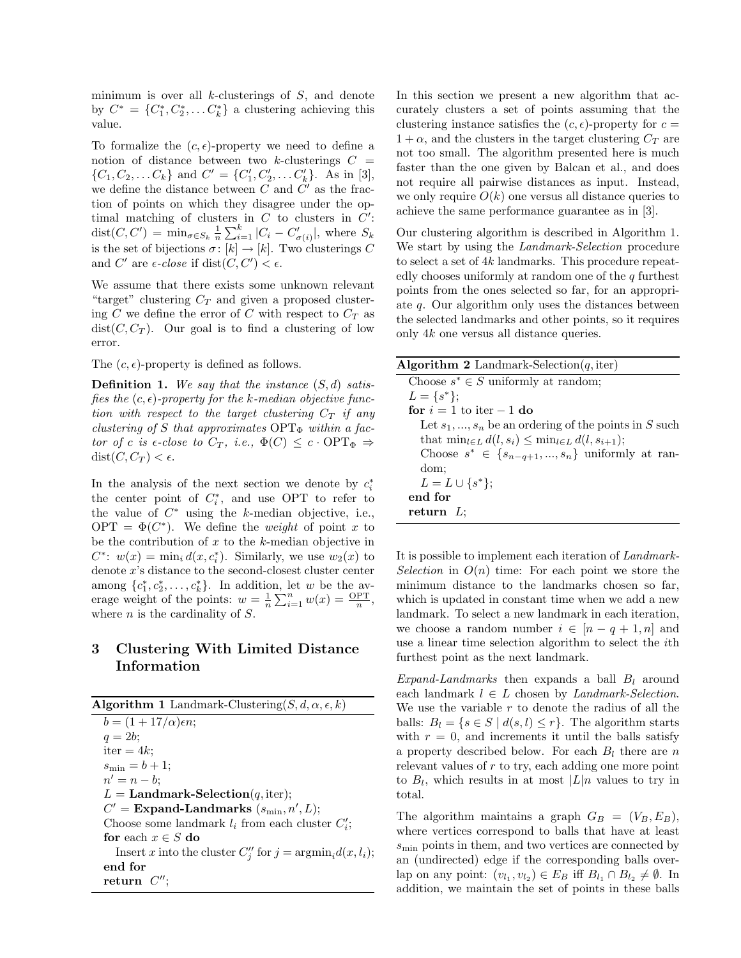minimum is over all  $k$ -clusterings of  $S$ , and denote by  $C^* = \{C_1^*, C_2^*, \dots C_k^*\}$  a clustering achieving this value.

To formalize the  $(c, \epsilon)$ -property we need to define a notion of distance between two k-clusterings  $C =$  $\{C_1, C_2, \ldots C_k\}$  and  $C' = \{C'_1, C'_2, \ldots C'_k\}$ . As in [3], we define the distance between  $C$  and  $C'$  as the fraction of points on which they disagree under the optimal matching of clusters in  $C$  to clusters in  $C'$ : dist $(C, C') = \min_{\sigma \in S_k} \frac{1}{n} \sum_{i=1}^k |C_i - C'_{\sigma(i)}|$ , where  $S_k$ is the set of bijections  $\sigma \colon [k] \to [k]$ . Two clusterings C and C' are  $\epsilon$ -close if  $dist(C, C') < \epsilon$ .

We assume that there exists some unknown relevant "target" clustering  $C_T$  and given a proposed clustering C we define the error of C with respect to  $C_T$  as  $dist(C, C_T)$ . Our goal is to find a clustering of low error.

The  $(c, \epsilon)$ -property is defined as follows.

**Definition 1.** We say that the instance  $(S, d)$  satisfies the  $(c, \epsilon)$ -property for the k-median objective function with respect to the target clustering  $C_T$  if any clustering of S that approximates  $\text{OPT}_{\Phi}$  within a factor of c is  $\epsilon$ -close to  $C_T$ , i.e.,  $\Phi(C) \leq c \cdot \text{OPT}_{\Phi} \Rightarrow$  $dist(C, C_T) < \epsilon.$ 

In the analysis of the next section we denote by  $c_i^*$ the center point of  $C_i^*$ , and use OPT to refer to the value of  $C^*$  using the k-median objective, i.e., OPT =  $\Phi(C^*)$ . We define the *weight* of point x to be the contribution of  $x$  to the  $k$ -median objective in  $C^*$ :  $w(x) = \min_i d(x, c_i^*)$ . Similarly, we use  $w_2(x)$  to denote x's distance to the second-closest cluster center among  $\{c_1^*, c_2^*, \ldots, c_k^*\}$ . In addition, let w be the average weight of the points:  $w = \frac{1}{n} \sum_{i=1}^{n} w(x) = \frac{OPT}{n}$ , where  $n$  is the cardinality of  $S$ .

# 3 Clustering With Limited Distance Information

| <b>Algorithm 1</b> Landmark-Clustering( $S, d, \alpha, \epsilon, k$ )          |
|--------------------------------------------------------------------------------|
| $b = (1 + 17/\alpha)\epsilon n;$                                               |
| $q=2b;$                                                                        |
| $iter = 4k$                                                                    |
| $s_{\min} = b + 1;$                                                            |
| $n'=n-b;$                                                                      |
| $L =$ <b>Landmark-Selection</b> $(q, \text{iter});$                            |
| $C'$ = Expand-Landmarks $(s_{\min}, n', L);$                                   |
| Choose some landmark $l_i$ from each cluster $C_i$ ;                           |
| for each $x \in S$ do                                                          |
| Insert x into the cluster $C''_i$ for $j = \operatorname{argmin}_i d(x, l_i);$ |
| end for                                                                        |
| return $C''$ :                                                                 |

In this section we present a new algorithm that accurately clusters a set of points assuming that the clustering instance satisfies the  $(c, \epsilon)$ -property for  $c =$  $1 + \alpha$ , and the clusters in the target clustering  $C_T$  are not too small. The algorithm presented here is much faster than the one given by Balcan et al., and does not require all pairwise distances as input. Instead, we only require  $O(k)$  one versus all distance queries to achieve the same performance guarantee as in [3].

Our clustering algorithm is described in Algorithm 1. We start by using the *Landmark-Selection* procedure to select a set of 4k landmarks. This procedure repeatedly chooses uniformly at random one of the  $q$  furthest points from the ones selected so far, for an appropriate  $q$ . Our algorithm only uses the distances between the selected landmarks and other points, so it requires only 4k one versus all distance queries.

| <b>Algorithm 2</b> Landmark-Selection( <i>q</i> , iter)            |
|--------------------------------------------------------------------|
| Choose $s^* \in S$ uniformly at random;                            |
| $L = \{s^*\};$                                                     |
| for $i = 1$ to iter $-1$ do                                        |
| Let $s_1, , s_n$ be an ordering of the points in S such            |
| that $\min_{l \in L} d(l, s_i) \leq \min_{l \in L} d(l, s_{i+1});$ |
| Choose $s^* \in \{s_{n-q+1},,s_n\}$ uniformly at ran-              |
| dom;                                                               |
| $L = L \cup \{s^*\};$                                              |
| end for                                                            |
| return $L$ :                                                       |
|                                                                    |

It is possible to implement each iteration of Landmark-Selection in  $O(n)$  time: For each point we store the minimum distance to the landmarks chosen so far, which is updated in constant time when we add a new landmark. To select a new landmark in each iteration, we choose a random number  $i \in [n - q + 1, n]$  and use a linear time selection algorithm to select the ith furthest point as the next landmark.

Expand-Landmarks then expands a ball  $B_l$  around each landmark  $l \in L$  chosen by *Landmark-Selection*. We use the variable  $r$  to denote the radius of all the balls:  $B_l = \{s \in S \mid d(s,l) \leq r\}$ . The algorithm starts with  $r = 0$ , and increments it until the balls satisfy a property described below. For each  $B_l$  there are n relevant values of r to try, each adding one more point to  $B_l$ , which results in at most  $|L|n$  values to try in total.

The algorithm maintains a graph  $G_B = (V_B, E_B)$ , where vertices correspond to balls that have at least  $s_{\text{min}}$  points in them, and two vertices are connected by an (undirected) edge if the corresponding balls overlap on any point:  $(v_{l_1}, v_{l_2}) \in E_B$  iff  $B_{l_1} \cap B_{l_2} \neq \emptyset$ . In addition, we maintain the set of points in these balls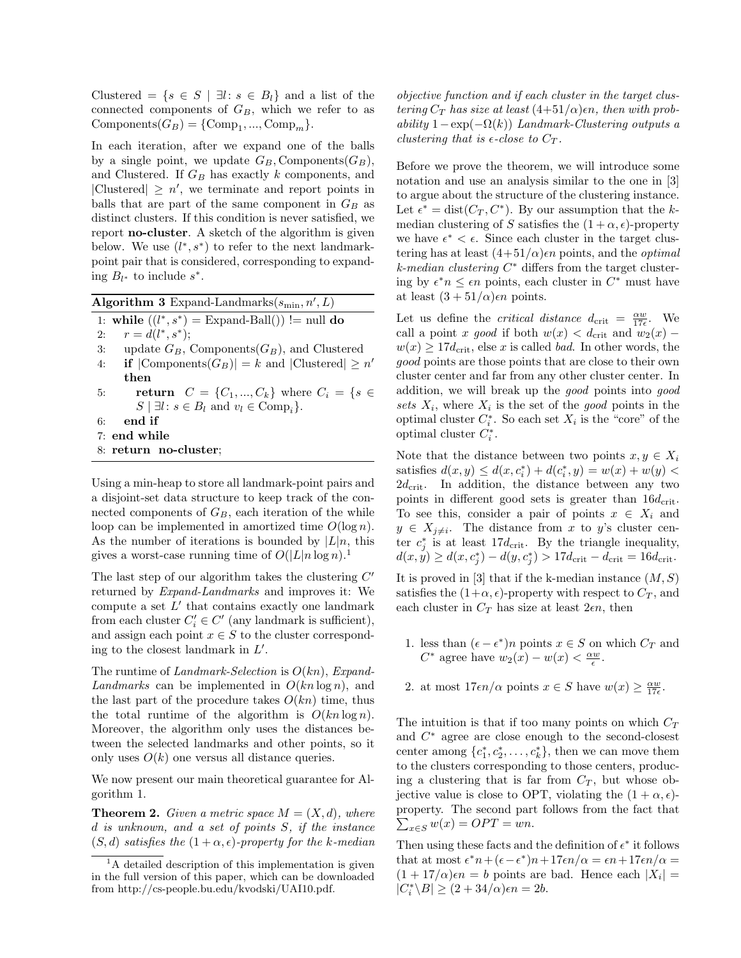Clustered =  $\{s \in S \mid \exists l : s \in B_l\}$  and a list of the connected components of  $G_B$ , which we refer to as Components $(G_B) = \{Comp_1, ..., Comp_m\}.$ 

In each iteration, after we expand one of the balls by a single point, we update  $G_B$ , Components( $G_B$ ), and Clustered. If  $G_B$  has exactly k components, and |Clustered|  $\geq n'$ , we terminate and report points in balls that are part of the same component in  $G_B$  as distinct clusters. If this condition is never satisfied, we report no-cluster. A sketch of the algorithm is given below. We use  $(l^*, s^*)$  to refer to the next landmarkpoint pair that is considered, corresponding to expanding  $B_{l^*}$  to include  $s^*$ .

Algorithm 3 Expand-Landmarks $(s_{\min}, n', L)$ 

1: while  $((l^*, s^*) =$  Expand-Ball()) != null do

2:  $r = d(l^*, s^*);$ 

- 3: update  $G_B$ , Components $(G_B)$ , and Clustered
- 4: **if**  $|\text{Components}(G_B)| = k$  and  $|\text{Clustered}| \geq n'$ then
- 5: **return**  $C = \{C_1, ..., C_k\}$  where  $C_i = \{s \in \mathbb{R}^d : |C_i| = 1\}$  $S \mid \exists l : s \in B_l \text{ and } v_l \in \text{Comp}_i$ .
- 6: end if
- 7: end while
- 8: return no-cluster;

Using a min-heap to store all landmark-point pairs and a disjoint-set data structure to keep track of the connected components of  $G_B$ , each iteration of the while loop can be implemented in amortized time  $O(\log n)$ . As the number of iterations is bounded by  $|L|n$ , this gives a worst-case running time of  $O(|L|n \log n)$ .

The last step of our algorithm takes the clustering  $C'$ returned by Expand-Landmarks and improves it: We compute a set  $L'$  that contains exactly one landmark from each cluster  $C_i' \in C'$  (any landmark is sufficient), and assign each point  $x \in S$  to the cluster corresponding to the closest landmark in  $L'$ .

The runtime of Landmark-Selection is  $O(kn)$ , Expand-Landmarks can be implemented in  $O(kn \log n)$ , and the last part of the procedure takes  $O(kn)$  time, thus the total runtime of the algorithm is  $O(kn \log n)$ . Moreover, the algorithm only uses the distances between the selected landmarks and other points, so it only uses  $O(k)$  one versus all distance queries.

We now present our main theoretical guarantee for Algorithm 1.

**Theorem 2.** Given a metric space  $M = (X, d)$ , where d is unknown, and a set of points S, if the instance  $(S, d)$  satisfies the  $(1 + \alpha, \epsilon)$ -property for the k-median objective function and if each cluster in the target clustering  $C_T$  has size at least  $(4+51/\alpha)$ en, then with probability  $1-\exp(-\Omega(k))$  Landmark-Clustering outputs a clustering that is  $\epsilon$ -close to  $C_T$ .

Before we prove the theorem, we will introduce some notation and use an analysis similar to the one in [3] to argue about the structure of the clustering instance. Let  $\epsilon^* = \text{dist}(C_T, C^*)$ . By our assumption that the kmedian clustering of S satisfies the  $(1 + \alpha, \epsilon)$ -property we have  $\epsilon^* < \epsilon$ . Since each cluster in the target clustering has at least  $(4+51/\alpha)$ <sub>c</sub> points, and the *optimal*  $k$ -median clustering  $C^*$  differs from the target clustering by  $\epsilon^* n \leq \epsilon n$  points, each cluster in  $C^*$  must have at least  $(3 + 51/\alpha)\epsilon n$  points.

Let us define the *critical distance*  $d_{\text{crit}} = \frac{\alpha w}{17\epsilon}$ . We call a point x good if both  $w(x) < d_{\text{crit}}$  and  $w_2(x)$  –  $w(x) \geq 17d_{\rm crit}$ , else x is called *bad*. In other words, the good points are those points that are close to their own cluster center and far from any other cluster center. In addition, we will break up the good points into good sets  $X_i$ , where  $X_i$  is the set of the good points in the optimal cluster  $C_i^*$ . So each set  $X_i$  is the "core" of the optimal cluster  $C_i^*$ .

Note that the distance between two points  $x, y \in X_i$ satisfies  $d(x, y) \leq d(x, c_i^*) + d(c_i^*, y) = w(x) + w(y)$  $2d_{\text{crit}}$ . In addition, the distance between any two points in different good sets is greater than  $16d_{\text{crit}}$ . To see this, consider a pair of points  $x \in X_i$  and  $y \in X_{j \neq i}$ . The distance from x to y's cluster center  $c_j^*$  is at least 17 $d_{\text{crit}}$ . By the triangle inequality,  $d(x, y) \geq d(x, c_j^*) - d(y, c_j^*) > 17d_{\text{crit}} - d_{\text{crit}} = 16d_{\text{crit}}.$ 

It is proved in [3] that if the k-median instance  $(M, S)$ satisfies the  $(1+\alpha, \epsilon)$ -property with respect to  $C_T$ , and each cluster in  $C_T$  has size at least  $2\epsilon n$ , then

- 1. less than  $(\epsilon \epsilon^*)n$  points  $x \in S$  on which  $C_T$  and  $C^*$  agree have  $w_2(x) - w(x) < \frac{\alpha w}{\epsilon}$ .
- 2. at most  $17\epsilon n/\alpha$  points  $x \in S$  have  $w(x) \ge \frac{\alpha w}{17\epsilon}$ .

The intuition is that if too many points on which  $C_T$ and C <sup>∗</sup> agree are close enough to the second-closest center among  $\{c_1^*, c_2^*, \ldots, c_k^*\}$ , then we can move them to the clusters corresponding to those centers, producing a clustering that is far from  $C_T$ , but whose objective value is close to OPT, violating the  $(1 + \alpha, \epsilon)$ property. The second part follows from the fact that  $\sum_{x \in S} w(x) = OPT = wn.$ 

Then using these facts and the definition of  $\epsilon^*$  it follows that at most  $\epsilon^* n + (\epsilon - \epsilon^*) n + 17\epsilon n/\alpha = \epsilon n + 17\epsilon n/\alpha =$  $(1 + 17/\alpha)\epsilon n = b$  points are bad. Hence each  $|X_i| =$  $|C_i^*\backslash B|\geq (2+34/\alpha)\epsilon n=2b.$ 

 ${}^{1}$ A detailed description of this implementation is given in the full version of this paper, which can be downloaded from http://cs-people.bu.edu/kvodski/UAI10.pdf.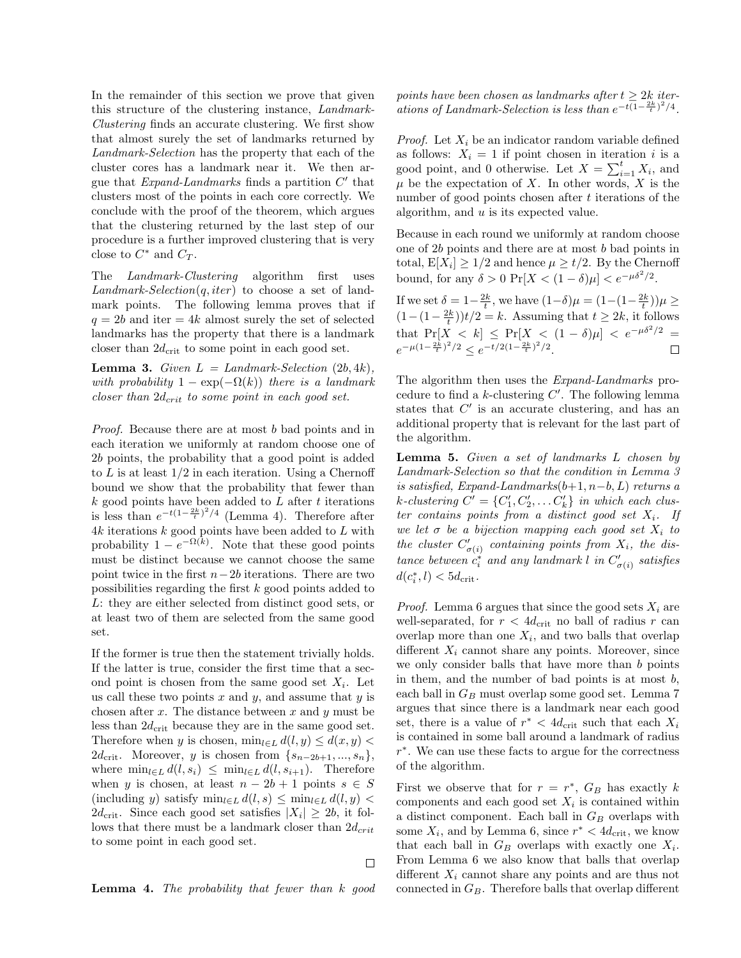In the remainder of this section we prove that given this structure of the clustering instance, Landmark-Clustering finds an accurate clustering. We first show that almost surely the set of landmarks returned by Landmark-Selection has the property that each of the cluster cores has a landmark near it. We then argue that  $Expand\text{-}Landmarks$  finds a partition  $C'$  that clusters most of the points in each core correctly. We conclude with the proof of the theorem, which argues that the clustering returned by the last step of our procedure is a further improved clustering that is very close to  $C^*$  and  $C_T$ .

The *Landmark-Clustering* algorithm first uses  $Landmark-Selection(q, iter)$  to choose a set of landmark points. The following lemma proves that if  $q = 2b$  and iter = 4k almost surely the set of selected landmarks has the property that there is a landmark closer than  $2d_{\text{crit}}$  to some point in each good set.

**Lemma 3.** Given  $L = Landmark-Selectron (2b, 4k)$ , with probability  $1 - \exp(-\Omega(k))$  there is a landmark  $\emph{closer than } 2d_{crit}$  to some point in each good set.

Proof. Because there are at most b bad points and in each iteration we uniformly at random choose one of 2b points, the probability that a good point is added to  $L$  is at least  $1/2$  in each iteration. Using a Chernoff bound we show that the probability that fewer than  $k$  good points have been added to  $L$  after  $t$  iterations is less than  $e^{-t(1-\frac{2k}{t})^2/4}$  (Lemma 4). Therefore after  $4k$  iterations  $k$  good points have been added to  ${\cal L}$  with probability  $1 - e^{-\Omega(k)}$ . Note that these good points must be distinct because we cannot choose the same point twice in the first  $n-2b$  iterations. There are two possibilities regarding the first k good points added to L: they are either selected from distinct good sets, or at least two of them are selected from the same good set.

If the former is true then the statement trivially holds. If the latter is true, consider the first time that a second point is chosen from the same good set  $X_i$ . Let us call these two points  $x$  and  $y$ , and assume that  $y$  is chosen after  $x$ . The distance between  $x$  and  $y$  must be less than  $2d_{\rm crit}$  because they are in the same good set. Therefore when y is chosen,  $\min_{l\in L} d(l, y) \leq d(x, y)$ 2 $d_{\text{crit}}$ . Moreover, y is chosen from  $\{s_{n-2b+1},...,s_n\},\$ where  $\min_{l \in L} d(l, s_i) \leq \min_{l \in L} d(l, s_{i+1})$ . Therefore when y is chosen, at least  $n - 2b + 1$  points  $s \in S$ (including y) satisfy  $\min_{l\in L} d(l, s) \leq \min_{l\in L} d(l, y)$  $2d_{\text{crit}}$ . Since each good set satisfies  $|X_i| \geq 2b$ , it follows that there must be a landmark closer than  $2d_{crit}$ to some point in each good set.

points have been chosen as landmarks after  $t > 2k$  iterations of Landmark-Selection is less than  $e^{-t(1-\frac{2k}{t})^2/4}$ .

*Proof.* Let  $X_i$  be an indicator random variable defined as follows:  $X_i = 1$  if point chosen in iteration i is a good point, and 0 otherwise. Let  $X = \sum_{i=1}^{t} X_i$ , and  $\mu$  be the expectation of X. In other words, X is the number of good points chosen after  $t$  iterations of the algorithm, and  $u$  is its expected value.

Because in each round we uniformly at random choose one of 2b points and there are at most b bad points in total,  $E[X_i] \geq 1/2$  and hence  $\mu \geq t/2$ . By the Chernoff bound, for any  $\delta > 0 \Pr[X < (1 - \delta)\mu] < e^{-\mu \delta^2/2}$ .

If we set  $\delta = 1 - \frac{2k}{t}$ , we have  $(1-\delta)\mu = (1 - (1 - \frac{2k}{t}))\mu \ge$  $(1 - (1 - \frac{2k}{t}))t/2 = k$ . Assuming that  $t \ge 2k$ , it follows that  $Pr[X \le k] \le Pr[X \le (1 - \delta)\mu] \le e^{-\mu \delta^2/2}$  $e^{-\mu(1-\frac{2k}{t})^2/2} \leq e^{-t/2(1-\frac{2k}{t})^2/2}.$  $\Box$ 

The algorithm then uses the Expand-Landmarks procedure to find a  $k$ -clustering  $C'$ . The following lemma states that  $C'$  is an accurate clustering, and has an additional property that is relevant for the last part of the algorithm.

Lemma 5. Given a set of landmarks L chosen by Landmark-Selection so that the condition in Lemma 3 is satisfied, Expand-Landmarks $(b+1, n-b, L)$  returns a k-clustering  $C' = \{C'_1, C'_2, \dots C'_k\}$  in which each cluster contains points from a distinct good set  $X_i$ . If we let  $\sigma$  be a bijection mapping each good set  $X_i$  to the cluster  $C'_{\sigma(i)}$  containing points from  $X_i$ , the dis $t$ ance between  $c_i^*$  and any landmark l in  $C'_{\sigma(i)}$  satisfies  $d(c_i^*, l) < 5d_{\text{crit}}.$ 

*Proof.* Lemma 6 argues that since the good sets  $X_i$  are well-separated, for  $r < 4d_{\text{crit}}$  no ball of radius r can overlap more than one  $X_i$ , and two balls that overlap different  $X_i$  cannot share any points. Moreover, since we only consider balls that have more than  $b$  points in them, and the number of bad points is at most  $b$ , each ball in  $G_B$  must overlap some good set. Lemma 7 argues that since there is a landmark near each good set, there is a value of  $r^* < 4d_{\text{crit}}$  such that each  $X_i$ is contained in some ball around a landmark of radius r ∗ . We can use these facts to argue for the correctness of the algorithm.

First we observe that for  $r = r^*$ ,  $G_B$  has exactly k components and each good set  $X_i$  is contained within a distinct component. Each ball in  $G_B$  overlaps with some  $X_i$ , and by Lemma 6, since  $r^* < 4d_{\text{crit}}$ , we know that each ball in  $G_B$  overlaps with exactly one  $X_i$ . From Lemma 6 we also know that balls that overlap different  $X_i$  cannot share any points and are thus not connected in  $G_B$ . Therefore balls that overlap different

Lemma 4. The probability that fewer than k good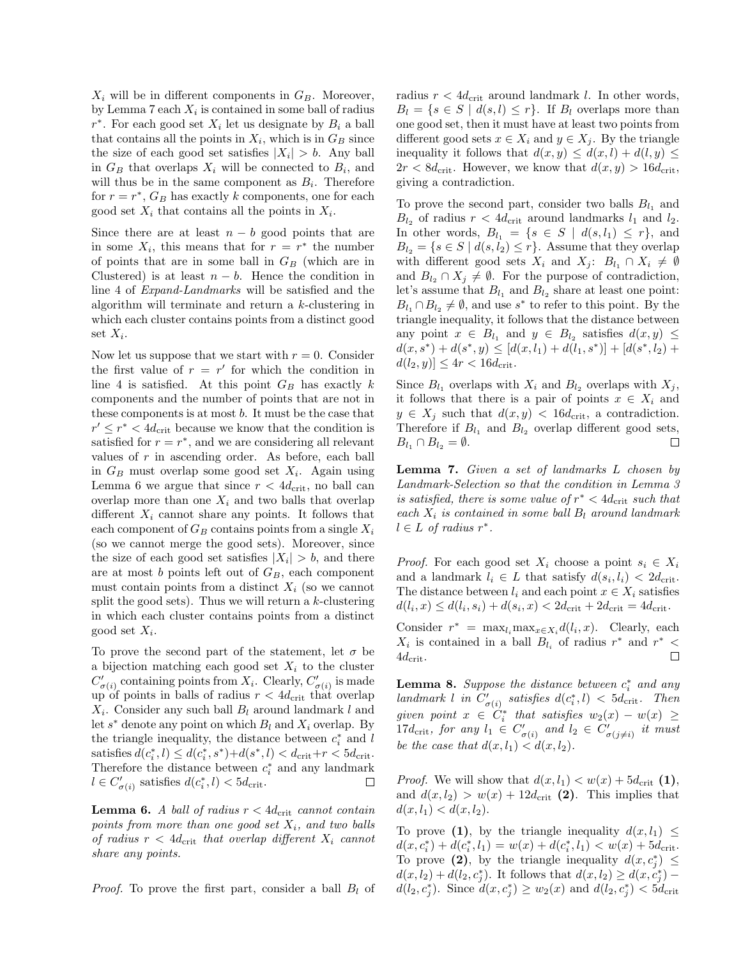$X_i$  will be in different components in  $G_B$ . Moreover, by Lemma 7 each  $X_i$  is contained in some ball of radius  $r^*$ . For each good set  $X_i$  let us designate by  $B_i$  a ball that contains all the points in  $X_i$ , which is in  $G_B$  since the size of each good set satisfies  $|X_i| > b$ . Any ball in  $G_B$  that overlaps  $X_i$  will be connected to  $B_i$ , and will thus be in the same component as  $B_i$ . Therefore for  $r = r^*$ ,  $G_B$  has exactly k components, one for each good set  $X_i$  that contains all the points in  $X_i$ .

Since there are at least  $n - b$  good points that are in some  $X_i$ , this means that for  $r = r^*$  the number of points that are in some ball in  $G_B$  (which are in Clustered) is at least  $n - b$ . Hence the condition in line 4 of Expand-Landmarks will be satisfied and the algorithm will terminate and return a k-clustering in which each cluster contains points from a distinct good set  $X_i$ .

Now let us suppose that we start with  $r = 0$ . Consider the first value of  $r = r'$  for which the condition in line 4 is satisfied. At this point  $G_B$  has exactly  $k$ components and the number of points that are not in these components is at most b. It must be the case that  $r' \leq r^* < 4d_{\text{crit}}$  because we know that the condition is satisfied for  $r = r^*$ , and we are considering all relevant values of  $r$  in ascending order. As before, each ball in  $G_B$  must overlap some good set  $X_i$ . Again using Lemma 6 we argue that since  $r < 4d_{\text{crit}}$ , no ball can overlap more than one  $X_i$  and two balls that overlap different  $X_i$  cannot share any points. It follows that each component of  $G_B$  contains points from a single  $X_i$ (so we cannot merge the good sets). Moreover, since the size of each good set satisfies  $|X_i| > b$ , and there are at most  $b$  points left out of  $G_B$ , each component must contain points from a distinct  $X_i$  (so we cannot split the good sets). Thus we will return a  $k$ -clustering in which each cluster contains points from a distinct good set  $X_i$ .

To prove the second part of the statement, let  $\sigma$  be a bijection matching each good set  $X_i$  to the cluster  $C'_{\sigma(i)}$  containing points from  $X_i$ . Clearly,  $C'_{\sigma(i)}$  is made up of points in balls of radius  $r < 4d_{\text{crit}}$  that overlap  $X_i$ . Consider any such ball  $B_l$  around landmark l and let  $s^*$  denote any point on which  $B_l$  and  $X_i$  overlap. By the triangle inequality, the distance between  $c_i^*$  and l satisfies  $d(c_i^*, l) \leq d(c_i^*, s^*) + d(s^*, l) < d_{\text{crit}} + r < 5d_{\text{crit}}.$ Therefore the distance between  $c_i^*$  and any landmark  $l \in C'_{\sigma(i)}$  satisfies  $d(c_i^*, l) < 5d_{\text{crit}}$ . □

**Lemma 6.** A ball of radius  $r < 4d_{\text{crit}}$  cannot contain points from more than one good set  $X_i$ , and two balls of radius  $r < 4d_{\text{crit}}$  that overlap different  $X_i$  cannot share any points.

*Proof.* To prove the first part, consider a ball  $B_l$  of

radius  $r < 4d_{\text{crit}}$  around landmark l. In other words,  $B_l = \{s \in S \mid d(s,l) \leq r\}$ . If  $B_l$  overlaps more than one good set, then it must have at least two points from different good sets  $x \in X_i$  and  $y \in X_j$ . By the triangle inequality it follows that  $d(x, y) \leq d(x, l) + d(l, y) \leq$  $2r < 8d_{\text{crit}}$ . However, we know that  $d(x, y) > 16d_{\text{crit}}$ , giving a contradiction.

To prove the second part, consider two balls  $B_{l_1}$  and  $B_{l_2}$  of radius  $r < 4d_{\text{crit}}$  around landmarks  $l_1$  and  $l_2$ . In other words,  $B_{l_1} = \{s \in S \mid d(s, l_1) \leq r\}$ , and  $B_{l_2} = \{s \in S \mid d(s, l_2) \leq r\}.$  Assume that they overlap with different good sets  $X_i$  and  $X_j$ :  $B_{l_1} \cap X_i \neq \emptyset$ and  $B_{l_2} \cap X_j \neq \emptyset$ . For the purpose of contradiction, let's assume that  $B_{l_1}$  and  $B_{l_2}$  share at least one point:  $B_{l_1} \cap B_{l_2} \neq \emptyset$ , and use  $s^*$  to refer to this point. By the triangle inequality, it follows that the distance between any point  $x \in B_{l_1}$  and  $y \in B_{l_2}$  satisfies  $d(x, y) \leq$  $d(x, s^*) + d(s^*, y) \leq [d(x, l_1) + d(l_1, s^*)] + [d(s^*, l_2) +$  $d(l_2, y) \le 4r < 16d_{\text{crit}}.$ 

Since  $B_{l_1}$  overlaps with  $X_i$  and  $B_{l_2}$  overlaps with  $X_j$ , it follows that there is a pair of points  $x \in X_i$  and  $y \in X_i$  such that  $d(x, y) < 16d_{\text{crit}}$ , a contradiction. Therefore if  $B_{l_1}$  and  $B_{l_2}$  overlap different good sets,  $B_{l_1} \cap B_{l_2} = \emptyset.$  $\Box$ 

Lemma 7. Given a set of landmarks L chosen by Landmark-Selection so that the condition in Lemma 3 is satisfied, there is some value of  $r^* < 4d_{\text{crit}}$  such that each  $X_i$  is contained in some ball  $B_l$  around landmark  $l \in L$  of radius  $r^*$ .

*Proof.* For each good set  $X_i$  choose a point  $s_i \in X_i$ and a landmark  $l_i \in L$  that satisfy  $d(s_i, l_i) < 2d_{\text{crit}}$ . The distance between  $l_i$  and each point  $x \in X_i$  satisfies  $d(l_i, x) \leq d(l_i, s_i) + d(s_i, x) < 2d_{\text{crit}} + 2d_{\text{crit}} = 4d_{\text{crit}}.$ 

Consider  $r^* = \max_{l_i} \max_{x \in X_i} d(l_i, x)$ . Clearly, each  $X_i$  is contained in a ball  $B_{l_i}$  of radius  $r^*$  and  $r^*$  <  $4d_{\rm crit}$ .  $\Box$ 

**Lemma 8.** Suppose the distance between  $c_i^*$  and any landmark l in  $C'_{\sigma(i)}$  satisfies  $d(c_i^*, l) < 5d_{\text{crit}}$ . Then given point  $x \in C_i^*$  that satisfies  $w_2(x) - w(x) \geq$ 17d<sub>crit</sub>, for any  $l_1 \in C'_{\sigma(i)}$  and  $l_2 \in C'_{\sigma(j\neq i)}$  it must be the case that  $d(x, l_1) < d(x, l_2)$ .

*Proof.* We will show that  $d(x, l_1) < w(x) + 5d_{\text{crit}}(1)$ , and  $d(x, l_2) > w(x) + 12d_{\text{crit}}(2)$ . This implies that  $d(x, l_1) < d(x, l_2).$ 

To prove (1), by the triangle inequality  $d(x, l_1) \leq$  $d(x, c_i^*) + d(c_i^*, l_1) = w(x) + d(c_i^*, l_1) < w(x) + 5d_{\text{crit}}.$ To prove (2), by the triangle inequality  $d(x, c_j^*) \leq$  $d(x, l_2) + d(l_2, c_j^*)$ . It follows that  $d(x, l_2) \ge d(x, c_j^*)$  $d(l_2, c_j^*)$ . Since  $d(x, c_j^*) \ge w_2(x)$  and  $d(l_2, c_j^*) < 5d_{\text{crit}}$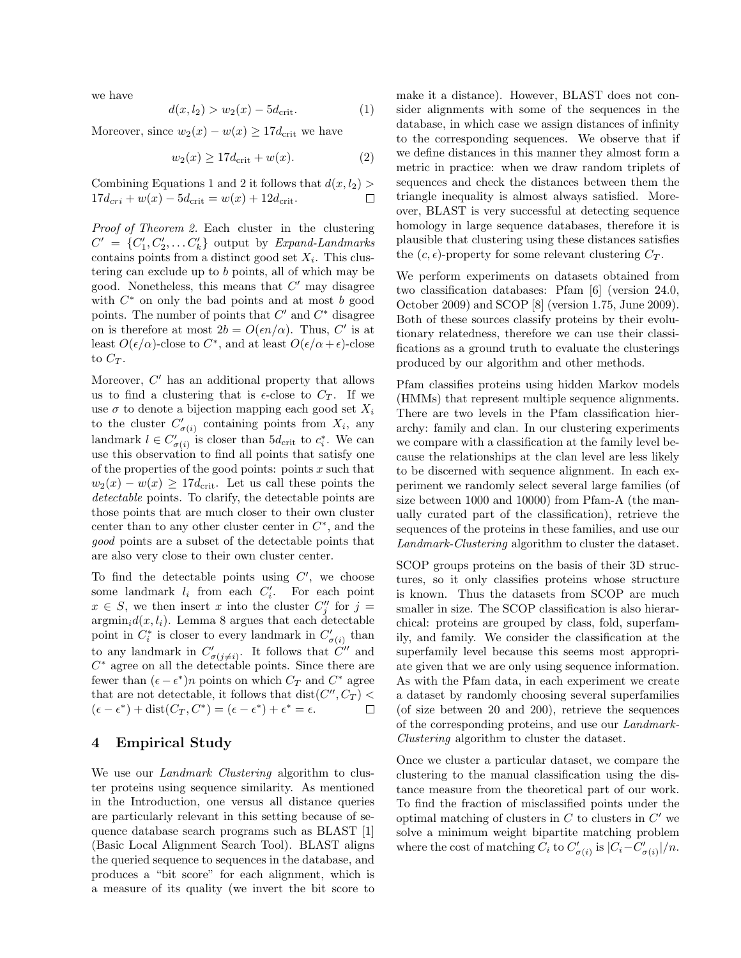we have

$$
d(x, l_2) > w_2(x) - 5d_{\text{crit}}.\t(1)
$$

Moreover, since  $w_2(x) - w(x) \geq 17d_{\text{crit}}$  we have

$$
w_2(x) \ge 17d_{\text{crit}} + w(x). \tag{2}
$$

Combining Equations 1 and 2 it follows that  $d(x, l_2)$  $17d_{cri} + w(x) - 5d_{\text{crit}} = w(x) + 12d_{\text{crit}}.$  $\Box$ 

Proof of Theorem 2. Each cluster in the clustering  $C' = \{C'_1, C'_2, \dots C'_k\}$  output by Expand-Landmarks contains points from a distinct good set  $X_i$ . This clustering can exclude up to b points, all of which may be good. Nonetheless, this means that  $C'$  may disagree with  $C^*$  on only the bad points and at most  $b$  good points. The number of points that  $C'$  and  $C^*$  disagree on is therefore at most  $2b = O(\epsilon n/\alpha)$ . Thus, C' is at least  $O(\epsilon/\alpha)$ -close to  $C^*$ , and at least  $O(\epsilon/\alpha + \epsilon)$ -close to  $C_T$ .

Moreover,  $C'$  has an additional property that allows us to find a clustering that is  $\epsilon$ -close to  $C_T$ . If we use  $\sigma$  to denote a bijection mapping each good set  $X_i$ to the cluster  $C'_{\sigma(i)}$  containing points from  $X_i$ , any landmark  $l \in C'_{\sigma(i)}$  is closer than  $5d_{\text{crit}}$  to  $c_i^*$ . We can use this observation to find all points that satisfy one of the properties of the good points: points  $x$  such that  $w_2(x) - w(x) \ge 17d_{\text{crit}}$ . Let us call these points the detectable points. To clarify, the detectable points are those points that are much closer to their own cluster center than to any other cluster center in  $C^*$ , and the good points are a subset of the detectable points that are also very close to their own cluster center.

To find the detectable points using  $C'$ , we choose some landmark  $l_i$  from each  $C'_i$ . For each point  $x \in S$ , we then insert x into the cluster  $C''_j$  for  $j =$  $\operatorname{argmin}_i d(x, l_i)$ . Lemma 8 argues that each detectable point in  $C_i^*$  is closer to every landmark in  $C'_{\sigma(i)}$  than to any landmark in  $C'_{\sigma(j\neq i)}$ . It follows that  $\tilde{C}''$  and  $C^*$  agree on all the detectable points. Since there are fewer than  $(\epsilon - \epsilon^*)n$  points on which  $C_T$  and  $C^*$  agree that are not detectable, it follows that  $dist(C'', C_T)$  <  $(\epsilon - \epsilon^*) + \text{dist}(C_T, C^*) = (\epsilon - \epsilon^*) + \epsilon^* = \epsilon.$  $\Box$ 

### 4 Empirical Study

We use our *Landmark Clustering* algorithm to cluster proteins using sequence similarity. As mentioned in the Introduction, one versus all distance queries are particularly relevant in this setting because of sequence database search programs such as BLAST [1] (Basic Local Alignment Search Tool). BLAST aligns the queried sequence to sequences in the database, and produces a "bit score" for each alignment, which is a measure of its quality (we invert the bit score to

make it a distance). However, BLAST does not consider alignments with some of the sequences in the database, in which case we assign distances of infinity to the corresponding sequences. We observe that if we define distances in this manner they almost form a metric in practice: when we draw random triplets of sequences and check the distances between them the triangle inequality is almost always satisfied. Moreover, BLAST is very successful at detecting sequence homology in large sequence databases, therefore it is plausible that clustering using these distances satisfies the  $(c, \epsilon)$ -property for some relevant clustering  $C_T$ .

We perform experiments on datasets obtained from two classification databases: Pfam [6] (version 24.0, October 2009) and SCOP [8] (version 1.75, June 2009). Both of these sources classify proteins by their evolutionary relatedness, therefore we can use their classifications as a ground truth to evaluate the clusterings produced by our algorithm and other methods.

Pfam classifies proteins using hidden Markov models (HMMs) that represent multiple sequence alignments. There are two levels in the Pfam classification hierarchy: family and clan. In our clustering experiments we compare with a classification at the family level because the relationships at the clan level are less likely to be discerned with sequence alignment. In each experiment we randomly select several large families (of size between 1000 and 10000) from Pfam-A (the manually curated part of the classification), retrieve the sequences of the proteins in these families, and use our Landmark-Clustering algorithm to cluster the dataset.

SCOP groups proteins on the basis of their 3D structures, so it only classifies proteins whose structure is known. Thus the datasets from SCOP are much smaller in size. The SCOP classification is also hierarchical: proteins are grouped by class, fold, superfamily, and family. We consider the classification at the superfamily level because this seems most appropriate given that we are only using sequence information. As with the Pfam data, in each experiment we create a dataset by randomly choosing several superfamilies (of size between 20 and 200), retrieve the sequences of the corresponding proteins, and use our Landmark-Clustering algorithm to cluster the dataset.

Once we cluster a particular dataset, we compare the clustering to the manual classification using the distance measure from the theoretical part of our work. To find the fraction of misclassified points under the optimal matching of clusters in  $C$  to clusters in  $C'$  we solve a minimum weight bipartite matching problem where the cost of matching  $C_i$  to  $C'_{\sigma(i)}$  is  $|C_i - C'_{\sigma(i)}|/n$ .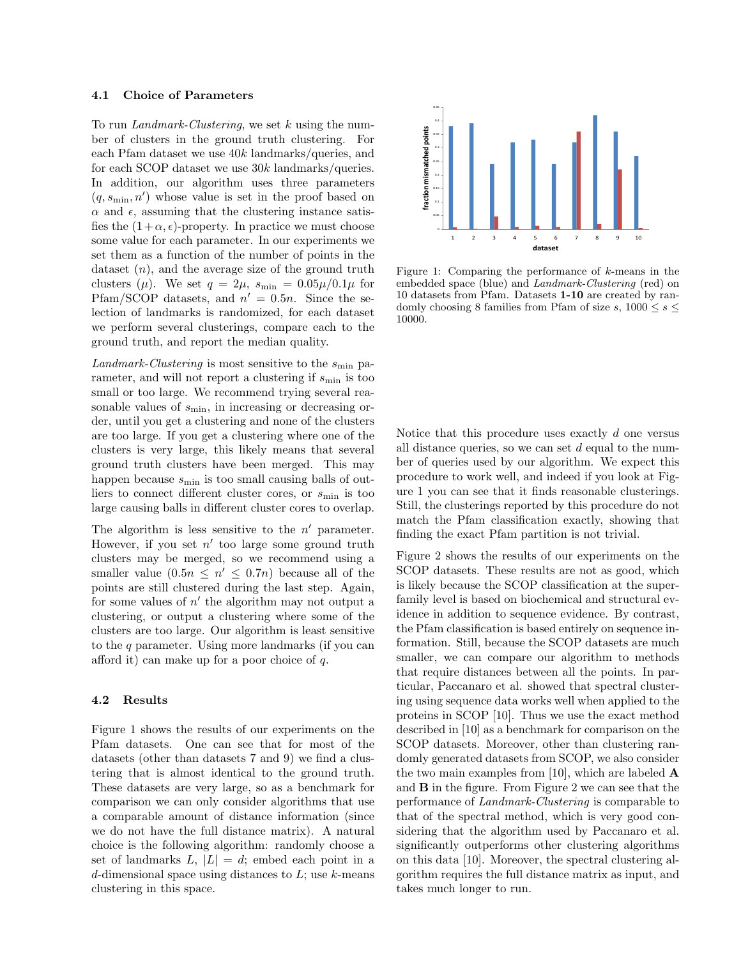#### 4.1 Choice of Parameters

To run Landmark-Clustering, we set  $k$  using the number of clusters in the ground truth clustering. For each Pfam dataset we use 40k landmarks/queries, and for each SCOP dataset we use 30k landmarks/queries. In addition, our algorithm uses three parameters  $(q, s_{\min}, n')$  whose value is set in the proof based on  $\alpha$  and  $\epsilon$ , assuming that the clustering instance satisfies the  $(1+\alpha, \epsilon)$ -property. In practice we must choose some value for each parameter. In our experiments we set them as a function of the number of points in the dataset  $(n)$ , and the average size of the ground truth clusters  $(\mu)$ . We set  $q = 2\mu$ ,  $s_{\min} = 0.05\mu/0.1\mu$  for Pfam/SCOP datasets, and  $n' = 0.5n$ . Since the selection of landmarks is randomized, for each dataset we perform several clusterings, compare each to the ground truth, and report the median quality.

 $Landmark\mbox{-}Clustering$  is most sensitive to the  $s_{\min}$  parameter, and will not report a clustering if  $s_{\min}$  is too small or too large. We recommend trying several reasonable values of  $s_{\min}$ , in increasing or decreasing order, until you get a clustering and none of the clusters are too large. If you get a clustering where one of the clusters is very large, this likely means that several ground truth clusters have been merged. This may happen because  $s_{\text{min}}$  is too small causing balls of outliers to connect different cluster cores, or  $s_{\min}$  is too large causing balls in different cluster cores to overlap.

The algorithm is less sensitive to the  $n'$  parameter. However, if you set  $n'$  too large some ground truth clusters may be merged, so we recommend using a smaller value  $(0.5n \leq n' \leq 0.7n)$  because all of the points are still clustered during the last step. Again, for some values of  $n'$  the algorithm may not output a clustering, or output a clustering where some of the clusters are too large. Our algorithm is least sensitive to the q parameter. Using more landmarks (if you can afford it) can make up for a poor choice of  $q$ .

### 4.2 Results

Figure 1 shows the results of our experiments on the Pfam datasets. One can see that for most of the datasets (other than datasets 7 and 9) we find a clustering that is almost identical to the ground truth. These datasets are very large, so as a benchmark for comparison we can only consider algorithms that use a comparable amount of distance information (since we do not have the full distance matrix). A natural choice is the following algorithm: randomly choose a set of landmarks  $L, |L| = d$ ; embed each point in a d-dimensional space using distances to  $L$ ; use  $k$ -means clustering in this space.



Figure 1: Comparing the performance of  $k$ -means in the embedded space (blue) and Landmark-Clustering (red) on 10 datasets from Pfam. Datasets 1-10 are created by randomly choosing 8 families from Pfam of size s,  $1000 \leq s \leq$ 10000.

Notice that this procedure uses exactly  $d$  one versus all distance queries, so we can set  $d$  equal to the number of queries used by our algorithm. We expect this procedure to work well, and indeed if you look at Figure 1 you can see that it finds reasonable clusterings. Still, the clusterings reported by this procedure do not match the Pfam classification exactly, showing that finding the exact Pfam partition is not trivial.

Figure 2 shows the results of our experiments on the SCOP datasets. These results are not as good, which is likely because the SCOP classification at the superfamily level is based on biochemical and structural evidence in addition to sequence evidence. By contrast, the Pfam classification is based entirely on sequence information. Still, because the SCOP datasets are much smaller, we can compare our algorithm to methods that require distances between all the points. In particular, Paccanaro et al. showed that spectral clustering using sequence data works well when applied to the proteins in SCOP [10]. Thus we use the exact method described in [10] as a benchmark for comparison on the SCOP datasets. Moreover, other than clustering randomly generated datasets from SCOP, we also consider the two main examples from [10], which are labeled  $\bf{A}$ and B in the figure. From Figure 2 we can see that the performance of Landmark-Clustering is comparable to that of the spectral method, which is very good considering that the algorithm used by Paccanaro et al. significantly outperforms other clustering algorithms on this data [10]. Moreover, the spectral clustering algorithm requires the full distance matrix as input, and takes much longer to run.